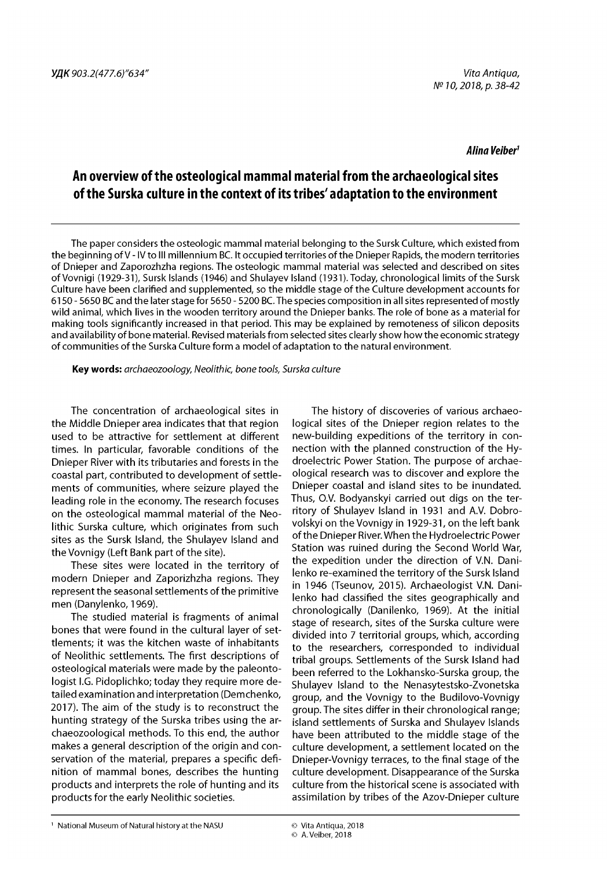#### *Alina Veiber*1

# **An overview of the osteological mammal material from the archaeological sites of the Surska culture in the context of its tribes' adaptation to the environment**

The paper considers the osteologic mammal material belonging to the Sursk Culture, which existed from the beginning of V - IV to III millennium BC. It occupied territories of the Dnieper Rapids, the modern territories of Dnieper and Zaporozhzha regions. The osteologic mammal material was selected and described on sites of Vovnigi (1929-31), Sursk Islands (1946) and Shulayev Island (1931). Today, chronological limits of the Sursk Culture have been clarified and supplemented, so the middle stage of the Culture development accounts for 6150 - 5650 BC and the later stage for 5650 - 5200 BC. The species composition in all sites represented of mostly wild animal, which lives in the wooden territory around the Dnieper banks. The role of bone as a material for making tools significantly increased in that period. This may be explained by remoteness of silicon deposits and availability of bone material. Revised materials from selected sites clearly show how the economic strategy of communities of the Surska Culture form a model of adaptation to the natural environment.

**Key words:** *archaeozoology, Neolithic, bone tools, Surska culture*

The concentration of archaeological sites in the Middle Dnieper area indicates that that region used to be attractive for settlement at different times. In particular, favorable conditions of the Dnieper River with its tributaries and forests in the coastal part, contributed to development of settlements of communities, where seizure played the leading role in the economy. The research focuses on the osteological mammal material of the Neolithic Surska culture, which originates from such sites as the Sursk Island, the Shulayev Island and the Vovnigy (Left Bank part of the site).

These sites were located in the territory of modern Dnieper and Zaporizhzha regions. They represent the seasonal settlements of the primitive men (Danylenko, 1969).

The studied material is fragments of animal bones that were found in the cultural layer of settlements; it was the kitchen waste of inhabitants of Neolithic settlements. The first descriptions of osteological materials were made by the paleontologist I.G. Pidoplichko; today they require more detailed examination and interpretation (Demchenko, 2017). The aim of the study is to reconstruct the hunting strategy of the Surska tribes using the archaeozoological methods. To this end, the author makes a general description of the origin and conservation of the material, prepares a specific definition of mammal bones, describes the hunting products and interprets the role of hunting and its products for the early Neolithic societies.

The history of discoveries of various archaeological sites of the Dnieper region relates to the new-building expeditions of the territory in connection with the planned construction of the Hydroelectric Power Station. The purpose of archaeological research was to discover and explore the Dnieper coastal and island sites to be inundated. Thus, O.V. Bodyanskyi carried out digs on the territory of Shulayev Island in 1931 and A.V. Dobrovolskyi on the Vovnigy in 1929-31, on the left bank of the Dnieper River. When the Hydroelectric Power Station was ruined during the Second World War, the expedition under the direction of V.N. Danilenko re-examined the territory of the Sursk Island in 1946 (Tseunov, 2015). Archaeologist V.N. Danilenko had classified the sites geographically and chronologically (Danilenko, 1969). At the initial stage of research, sites of the Surska culture were divided into 7 territorial groups, which, according to the researchers, corresponded to individual tribal groups. Settlements of the Sursk Island had been referred to the Lokhansko-Surska group, the Shulayev Island to the Nenasytestsko-Zvonetska group, and the Vovnigy to the Budilovo-Vovnigy group. The sites differ in their chronological range; island settlements of Surska and Shulayev Islands have been attributed to the middle stage of the culture development, a settlement located on the Dnieper-Vovnigy terraces, to the final stage of the culture development. Disappearance of the Surska culture from the historical scene is associated with assimilation by tribes of the Azov-Dnieper culture

<sup>1</sup> National Museum of Natural history at the NASU © Vita Antiqua, 2018

<sup>©</sup> A. Veiber, 2018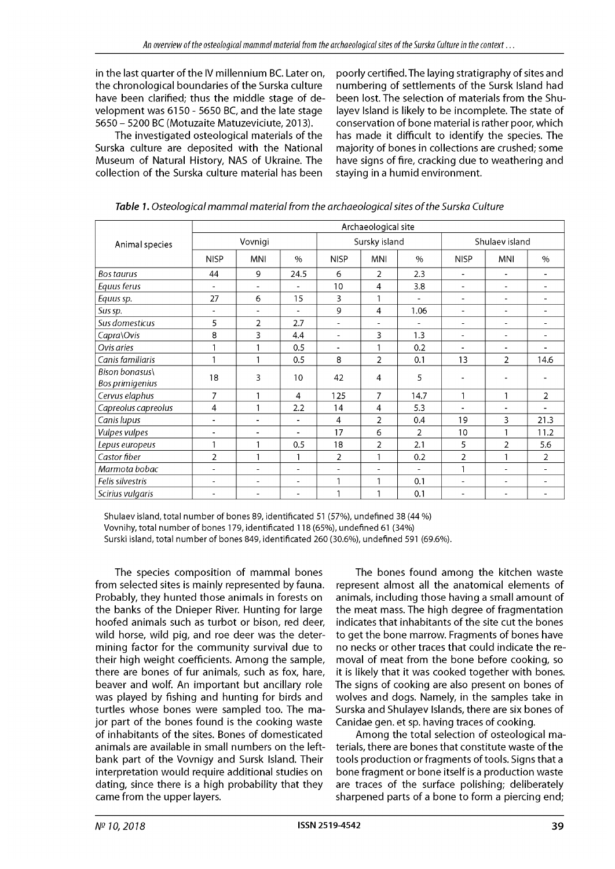in the last quarter of the IV millennium BC. Later on, the chronological boundaries of the Surska culture have been clarified; thus the middle stage of development was 6150 - 5650 BC, and the late stage 5650 - 5200 BC (Motuzaite Matuzeviciute, 2013).

The investigated osteological materials of the Surska culture are deposited with the National Museum of Natural History, NAS of Ukraine. The collection of the Surska culture material has been poorly certified. The laying stratigraphy of sites and numbering of settlements of the Sursk Island had been lost. The selection of materials from the Shulayev Island is likely to be incomplete. The state of conservation of bone material is rather poor, which has made it difficult to identify the species. The majority of bones in collections are crushed; some have signs of fire, cracking due to weathering and staying in a humid environment.

| Animal species                    | Archaeological site      |                |                          |                          |                          |                          |                          |                |                          |
|-----------------------------------|--------------------------|----------------|--------------------------|--------------------------|--------------------------|--------------------------|--------------------------|----------------|--------------------------|
|                                   | Vovnigi                  |                |                          | Sursky island            |                          |                          | Shulaev island           |                |                          |
|                                   | <b>NISP</b>              | <b>MNI</b>     | $\%$                     | <b>NISP</b>              | MNI                      | $\%$                     | <b>NISP</b>              | <b>MNI</b>     | $\%$                     |
| Bos taurus                        | 44                       | 9              | 24.5                     | 6                        | $\overline{2}$           | 2.3                      | $\blacksquare$           | L,             | $\blacksquare$           |
| Equus ferus                       | $\overline{\phantom{a}}$ | $\sim$         | ۰                        | 10                       | 4                        | 3.8                      | $\blacksquare$           | ÷              | ۳                        |
| Equus sp.                         | 27                       | 6              | 15                       | $\overline{3}$           | 1                        | $\overline{\phantom{a}}$ | $\blacksquare$           | ۰              | $\overline{\phantom{0}}$ |
| Sus sp.                           | $\blacksquare$           | $\blacksquare$ | $\overline{\phantom{0}}$ | 9                        | 4                        | 1.06                     | $\blacksquare$           | ٠              | $\overline{a}$           |
| Sus domesticus                    | 5                        | $\overline{2}$ | 2.7                      | $\overline{\phantom{a}}$ | $\overline{\phantom{a}}$ | $\overline{a}$           | $\overline{\phantom{a}}$ | L,             | $\blacksquare$           |
| Capra\Ovis                        | 8                        | 3              | 4.4                      | $\blacksquare$           | 3                        | 1.3                      | $\blacksquare$           | ۰              | ۰                        |
| Ovis aries                        |                          |                | 0.5                      | $\blacksquare$           | 1                        | 0.2                      | $\blacksquare$           | $\blacksquare$ | $\blacksquare$           |
| Canis familiaris                  |                          | 1              | 0.5                      | 8                        | $\overline{2}$           | 0.1                      | 13                       | 2              | 14.6                     |
| Bison bonasus\<br>Bos primigenius | 18                       | 3              | 10                       | 42                       | 4                        | 5                        | $\overline{\phantom{a}}$ | ۰              | -                        |
| Cervus elaphus                    | $\overline{7}$           | $\mathbf{I}$   | 4                        | 125                      | 7                        | 14.7                     | $\mathbf{1}$             | 1              | 2                        |
| Capreolus capreolus               | 4                        | 1              | 2.2                      | 14                       | 4                        | 5.3                      | $\overline{\phantom{a}}$ | $\overline{a}$ | $\overline{\phantom{0}}$ |
| Canis lupus                       | $\blacksquare$           | $\blacksquare$ | ÷,                       | 4                        | $\overline{2}$           | 0.4                      | 19                       | 3              | 21.3                     |
| Vulpes vulpes                     |                          |                |                          | 17                       | 6                        | $\overline{2}$           | 10                       |                | 11.2                     |
| Lepus europeus                    | $\mathbf{1}$             | $\mathbf{1}$   | 0.5                      | 18                       | $\overline{2}$           | 2.1                      | 5                        | $\overline{2}$ | 5.6                      |
| Castor fiber                      | $\overline{2}$           | 1              | 1                        | $\overline{2}$           | 1                        | 0.2                      | $\overline{2}$           | 1              | 2                        |
| Marmota bobac                     | ۰                        |                | ٠                        | $\overline{a}$           | $\overline{a}$           | $\overline{a}$           | $\mathbf{1}$             | ٠              | ۳                        |
| Felis silvestris                  | ۰                        |                | ۰                        | $\mathbf{1}$             | 1                        | 0.1                      | $\blacksquare$           | ٠              |                          |
| Scirius vulgaris                  |                          |                |                          | $\mathbf{1}$             |                          | 0.1                      | ۰                        |                |                          |

*Table 1. Osteological mammal material from the archaeological sites of the Surska Culture*

Shulaev island, total number of bones 89, identificated 51 (57%), undefined 38 (44 %) Vovnihy, total number of bones 179, identificated 118 (65%), undefined 61 (34%) Surski island, total number of bones 849, identificated 260 (30.6%), undefined 591 (69.6%).

The species composition of mammal bones from selected sites is mainly represented by fauna. Probably, they hunted those animals in forests on the banks of the Dnieper River. Hunting for large hoofed animals such as turbot or bison, red deer, wild horse, wild pig, and roe deer was the determining factor for the community survival due to their high weight coefficients. Among the sample, there are bones of fur animals, such as fox, hare, beaver and wolf. An important but ancillary role was played by fishing and hunting for birds and turtles whose bones were sampled too. The major part of the bones found is the cooking waste of inhabitants of the sites. Bones of domesticated animals are available in small numbers on the leftbank part of the Vovnigy and Sursk Island. Their interpretation would require additional studies on dating, since there is a high probability that they came from the upper layers.

The bones found among the kitchen waste represent almost all the anatomical elements of animals, including those having a small amount of the meat mass. The high degree of fragmentation indicates that inhabitants of the site cut the bones to get the bone marrow. Fragments of bones have no necks or other traces that could indicate the removal of meat from the bone before cooking, so it is likely that it was cooked together with bones. The signs of cooking are also present on bones of wolves and dogs. Namely, in the samples take in Surska and Shulayev Islands, there are six bones of Canidae gen. et sp. having traces of cooking.

Among the total selection of osteological materials, there are bones that constitute waste of the tools production or fragments of tools. Signs that a bone fragment or bone itself is a production waste are traces of the surface polishing; deliberately sharpened parts of a bone to form a piercing end;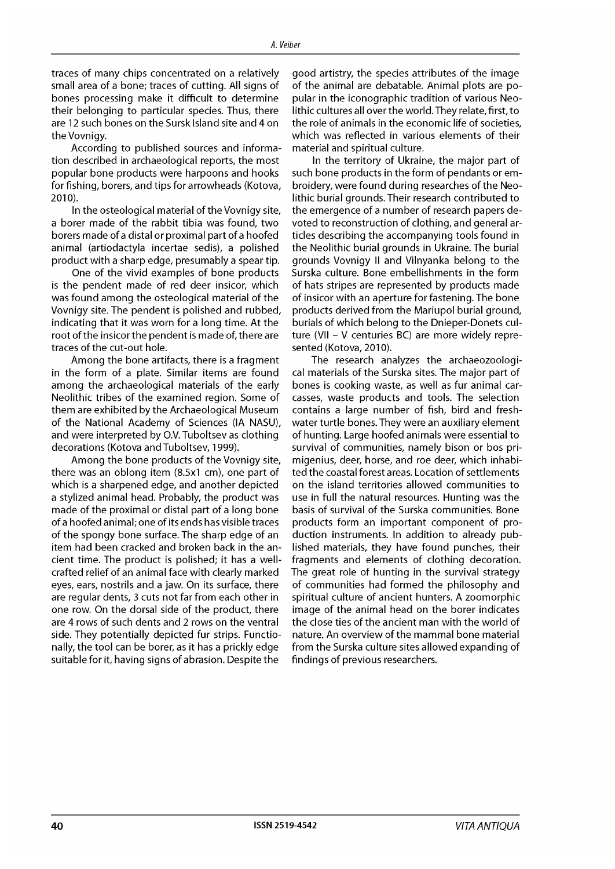traces of many chips concentrated on a relatively small area of a bone; traces of cutting. All signs of bones processing make it difficult to determine their belonging to particular species. Thus, there are 12 such bones on the Sursk Island site and 4 on the Vovnigy.

According to published sources and information described in archaeological reports, the most popular bone products were harpoons and hooks for fishing, borers, and tips for arrowheads (Kotova, 2010).

In the osteological material of the Vovnigy site, a borer made of the rabbit tibia was found, two borers made of a distal or proximal part of a hoofed animal (artiodactyla incertae sedis), a polished product with a sharp edge, presumably a spear tip.

One of the vivid examples of bone products is the pendent made of red deer insicor, which was found among the osteological material of the Vovnigy site. The pendent is polished and rubbed, indicating that it was worn for a long time. At the root of the insicor the pendent is made of, there are traces of the cut-out hole.

Among the bone artifacts, there is a fragment in the form of a plate. Similar items are found among the archaeological materials of the early Neolithic tribes of the examined region. Some of them are exhibited by the Archaeological Museum of the National Academy of Sciences (IA NASU), and were interpreted by O.V. Tuboltsev as clothing decorations (Kotova and Tuboltsev, 1999).

Among the bone products of the Vovnigy site, there was an oblong item (8.5x1 cm), one part of which is a sharpened edge, and another depicted a stylized animal head. Probably, the product was made of the proximal or distal part of a long bone of a hoofed animal; one of its ends has visible traces of the spongy bone surface. The sharp edge of an item had been cracked and broken back in the ancient time. The product is polished; it has a wellcrafted relief of an animal face with clearly marked eyes, ears, nostrils and a jaw. On its surface, there are regular dents, 3 cuts not far from each other in one row. On the dorsal side of the product, there are 4 rows of such dents and 2 rows on the ventral side. They potentially depicted fur strips. Functionally, the tool can be borer, as it has a prickly edge suitable for it, having signs of abrasion. Despite the

good artistry, the species attributes of the image of the animal are debatable. Animal plots are popular in the iconographic tradition of various Neolithic cultures all over the world. They relate, first, to the role of animals in the economic life of societies, which was reflected in various elements of their material and spiritual culture.

In the territory of Ukraine, the major part of such bone products in the form of pendants or embroidery, were found during researches of the Neolithic burial grounds. Their research contributed to the emergence of a number of research papers devoted to reconstruction of clothing, and general articles describing the accompanying tools found in the Neolithic burial grounds in Ukraine. The burial grounds Vovnigy II and Vilnyanka belong to the Surska culture. Bone embellishments in the form of hats stripes are represented by products made of insicor with an aperture for fastening. The bone products derived from the Mariupol burial ground, burials of which belong to the Dnieper-Donets culture (VII - V centuries BC) are more widely represented (Kotova, 2010).

The research analyzes the archaeozoological materials of the Surska sites. The major part of bones is cooking waste, as well as fur animal carcasses, waste products and tools. The selection contains a large number of fish, bird and freshwater turtle bones. They were an auxiliary element of hunting. Large hoofed animals were essential to survival of communities, namely bison or bos primigenius, deer, horse, and roe deer, which inhabited the coastal forest areas. Location of settlements on the island territories allowed communities to use in full the natural resources. Hunting was the basis of survival of the Surska communities. Bone products form an important component of production instruments. In addition to already published materials, they have found punches, their fragments and elements of clothing decoration. The great role of hunting in the survival strategy of communities had formed the philosophy and spiritual culture of ancient hunters. A zoomorphic image of the animal head on the borer indicates the close ties of the ancient man with the world of nature. An overview of the mammal bone material from the Surska culture sites allowed expanding of findings of previous researchers.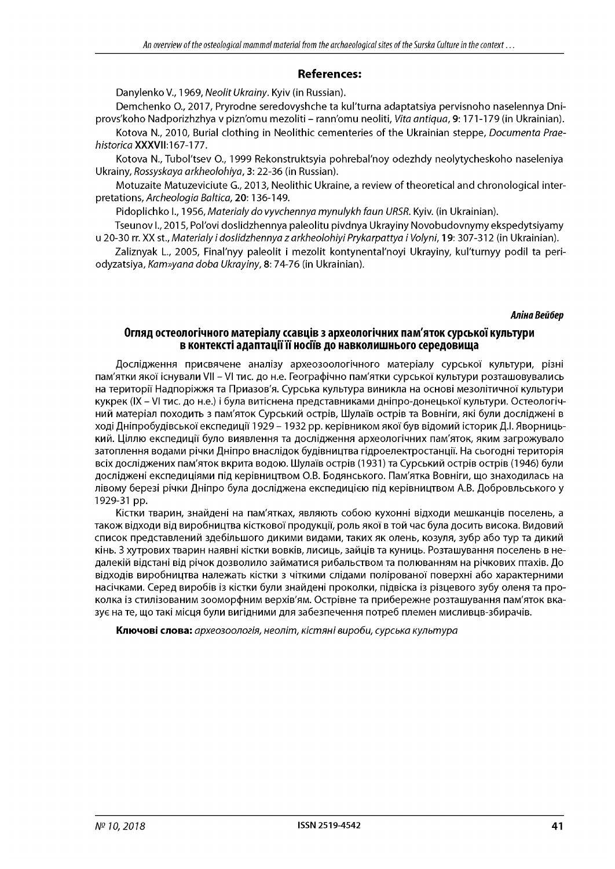## **References:**

Danylenko V., 1969, *Neolit Ukrainy.* Kyiv (in Russian).

Demchenko O., 2017, Pryrodne seredovyshche ta kul'turna adaptatsiya pervisnoho naselennya Dniprovs'koho Nadporizhzhya v pizn'omu mezoliti - rann'omu neoliti, *Vita antiqua,* 9: 171-179 (in Ukrainian).

Kotova N., 2010, Burial clothing in Neolithic cementeries of the Ukrainian steppe, *Documenta Praehistorica* XXXVII:167-177.

Kotova N., Tubol'tsev O., 1999 Rekonstruktsyia pohrebal'noy odezhdy neolytycheskoho naseleniya Ukrainy, *Rossyskaya arkheolohiya,* 3: 22-36 (in Russian).

Motuzaite Matuzeviciute G., 2013, Neolithic Ukraine, a review of theoretical and chronological interpretations, *Archeologia Baltica,* 20: 136-149.

Pidoplichko I., 1956, *Materialy do vyvchennya mynulykh faun URSR.* Kyiv. (in Ukrainian).

Tseunov I., 2015, Pol'ovi doslidzhennya paleolitu pivdnya Ukrayiny Novobudovnymy ekspedytsiyamy u 20-30 rr. XX st., *Materialy i doslidzhennya z arkheolohiyi Prykarpattya i Volyni,* 19: 307-312 (in Ukrainian).

Zaliznyak L., 2005, Final'nyy paleolit i mezolit kontynental'noyi Ukrayiny, kul'turnyy podil ta periodyzatsiya, *Kam»yana doba Ukrayiny,* 8: 74-76 (in Ukrainian).

#### *Аліна Вейбер*

### **Огляд остеологічного матеріалу ссавців з археологічних пам'яток сурської культури в контексті адаптації її носіїв до навколишнього середовища**

Дослідження присвячене аналізу археозоологічного матеріалу сурської культури, різні пам'ятки якої існували VII - VI тис. до н.е. Географічно пам'ятки сурської культури розташовувались на території Надпоріжжя та Приазов'я. Сурська культура виникла на основі мезолітичної культури кукрек (IX - VI тис. до н.е.) і була витіснена представниками дніпро-донецької культури. Остеологічний матеріал походить з пам'яток Сурський острів, Шулаїв острів та Вовніги, які були досліджені в ході Дніпробудівської експедиції 1929 – 1932 рр. керівником якої був відомий історик Д.І. Яворницький. Ціллю експедиції було виявлення та дослідження археологічних пам'яток, яким загрожувало затоплення водами річки Дніпро внаслідок будівництва гідроелектростанції. На сьогодні територія всіх досліджених пам'яток вкрита водою. Шулаїв острів (1931) та Сурський острів острів (1946) були досліджені експедиціями під керівництвом О.В. Бодянського. Пам'ятка Вовніги, що знаходилась на лівому березі річки Дніпро була досліджена експедицією під керівництвом А.В. Добровльського у 1929-31 рр.

Кістки тварин, знайдені на пам'ятках, являють собою кухонні відходи мешканців поселень, а також відходи від виробництва кісткової продукції, роль якої в той час була досить висока. Видовий список представлений здебільшого дикими видами, таких як олень, козуля, зубр або тур та дикий кінь. З хутрових тварин наявні кістки вовків, лисиць, зайців та куниць. Розташування поселень в недалекій відстані від річок дозволило займатися рибальством та полюванням на річкових птахів. До відходів виробництва належать кістки з чіткими слідами полірованої поверхні або характерними насічками. Серед виробів із кістки були знайдені проколки, підвіска із різцевого зубу оленя та проколка із стилізованим зооморфним верхів'ям. Острівне та прибережне розташування пам'яток вказує на те, що такі місця були вигідними для забезпечення потреб племен мисливцв-збирачів.

**Ключові слова:** *археозоологія, неоліт, кістяні вироби, сурська культура*